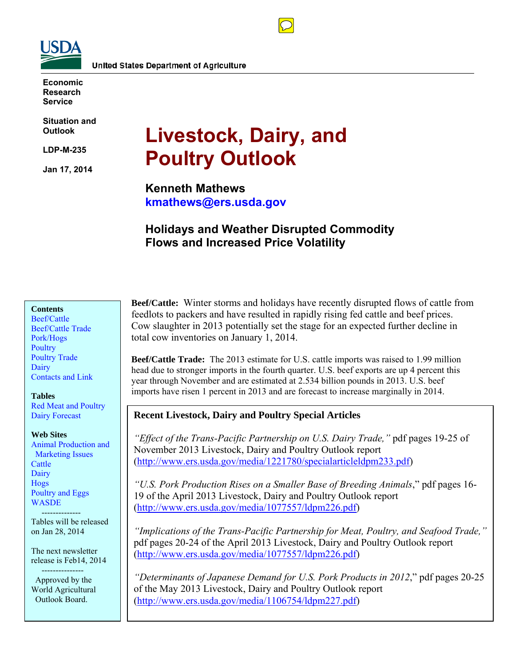

**Economic Research Service** 

**Situation and Outlook** 

**LDP-M-235** 

**Jan 17, 2014** 

# **Livestock, Dairy, and Poultry Outlook**

**Kenneth Mathews kmathews@ers.usda.gov** 

## **Holidays and Weather Disrupted Commodity Flows and Increased Price Volatility**

#### **Contents**

[Beef/Cattle](#page-2-0)  [Beef/Cattle Trade](#page-4-0)  [Pork/Hogs](#page-6-0)  **Poultry** [Poultry Trade](#page-14-0)  [Dairy](#page-16-0)  [Contacts and Link](#page-18-0) 

#### **Tables**

[Red Meat and Poultry](#page-19-0)  [Dairy Forecast](#page-20-0) 

#### **Web Sites**

[Animal Production and](http://www.ers.usda.gov/topics/animal-products/animal-production-marketing-issues.aspx)  Marketing Issues **Cattle Dairy** [Hogs](http://www.ers.usda.gov/topics/animal-products/hogs-pork.aspx)  [Poultry and Eggs](http://www.ers.usda.gov/topics/animal-products/poultry-eggs.aspx)  **WASDE** 

 -------------- Tables will be released on Jan 28, 2014

The next newsletter release is Feb14, 2014

 --------------- Approved by the World Agricultural Outlook Board.

**Beef/Cattle:** Winter storms and holidays have recently disrupted flows of cattle from feedlots to packers and have resulted in rapidly rising fed cattle and beef prices. Cow slaughter in 2013 potentially set the stage for an expected further decline in total cow inventories on January 1, 2014.

**Beef/Cattle Trade:** The 2013 estimate for U.S. cattle imports was raised to 1.99 million head due to stronger imports in the fourth quarter. U.S. beef exports are up 4 percent this year through November and are estimated at 2.534 billion pounds in 2013. U.S. beef imports have risen 1 percent in 2013 and are forecast to increase marginally in 2014.

#### **Recent Livestock, Dairy and Poultry Special Articles**

*"Effect of the Trans-Pacific Partnership on U.S. Dairy Trade,"* pdf pages 19-25 of November 2013 Livestock, Dairy and Poultry Outlook report (http://www.ers.usda.gov/media/1221780/specialarticleldpm233.pdf)

*"U.S. Pork Production Rises on a Smaller Base of Breeding Animals*," pdf pages 16- 19 of the April 2013 Livestock, Dairy and Poultry Outlook report (http://www.ers.usda.gov/media/1077557/ldpm226.pdf)

*"Implications of the Trans-Pacific Partnership for Meat, Poultry, and Seafood Trade,"* pdf pages 20-24 of the April 2013 Livestock, Dairy and Poultry Outlook report (http://www.ers.usda.gov/media/1077557/ldpm226.pdf)

*"Determinants of Japanese Demand for U.S. Pork Products in 2012*," pdf pages 20-25 of the May 2013 Livestock, Dairy and Poultry Outlook report (http://www.ers.usda.gov/media/1106754/ldpm227.pdf)

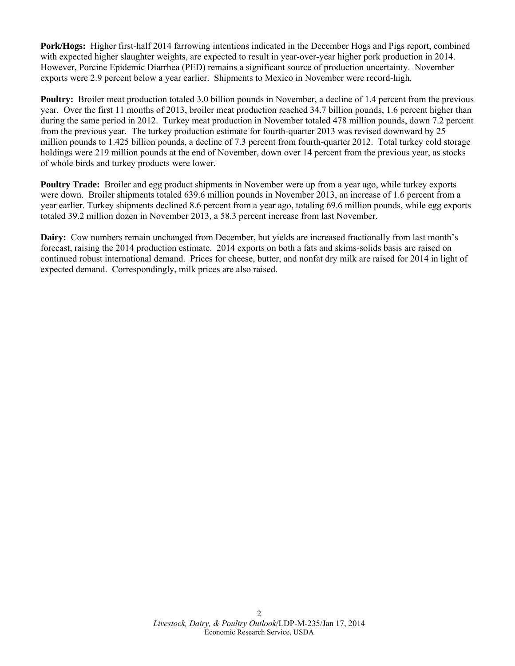**Pork/Hogs:** Higher first-half 2014 farrowing intentions indicated in the December Hogs and Pigs report, combined with expected higher slaughter weights, are expected to result in year-over-year higher pork production in 2014. However, Porcine Epidemic Diarrhea (PED) remains a significant source of production uncertainty. November exports were 2.9 percent below a year earlier. Shipments to Mexico in November were record-high.

**Poultry:** Broiler meat production totaled 3.0 billion pounds in November, a decline of 1.4 percent from the previous year. Over the first 11 months of 2013, broiler meat production reached 34.7 billion pounds, 1.6 percent higher than during the same period in 2012. Turkey meat production in November totaled 478 million pounds, down 7.2 percent from the previous year. The turkey production estimate for fourth-quarter 2013 was revised downward by 25 million pounds to 1.425 billion pounds, a decline of 7.3 percent from fourth-quarter 2012. Total turkey cold storage holdings were 219 million pounds at the end of November, down over 14 percent from the previous year, as stocks of whole birds and turkey products were lower.

**Poultry Trade:** Broiler and egg product shipments in November were up from a year ago, while turkey exports were down. Broiler shipments totaled 639.6 million pounds in November 2013, an increase of 1.6 percent from a year earlier. Turkey shipments declined 8.6 percent from a year ago, totaling 69.6 million pounds, while egg exports totaled 39.2 million dozen in November 2013, a 58.3 percent increase from last November.

**Dairy:** Cow numbers remain unchanged from December, but yields are increased fractionally from last month's forecast, raising the 2014 production estimate. 2014 exports on both a fats and skims-solids basis are raised on continued robust international demand. Prices for cheese, butter, and nonfat dry milk are raised for 2014 in light of expected demand. Correspondingly, milk prices are also raised.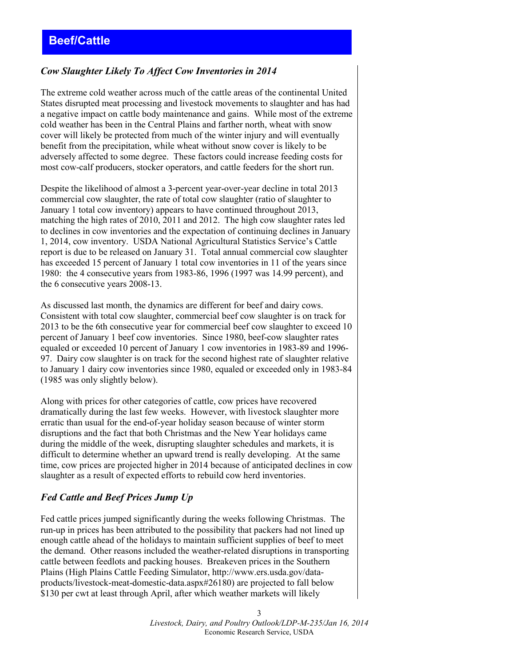## <span id="page-2-0"></span>*Cow Slaughter Likely To Affect Cow Inventories in 2014*

The extreme cold weather across much of the cattle areas of the continental United States disrupted meat processing and livestock movements to slaughter and has had a negative impact on cattle body maintenance and gains. While most of the extreme cold weather has been in the Central Plains and farther north, wheat with snow cover will likely be protected from much of the winter injury and will eventually benefit from the precipitation, while wheat without snow cover is likely to be adversely affected to some degree. These factors could increase feeding costs for most cow-calf producers, stocker operators, and cattle feeders for the short run.

Despite the likelihood of almost a 3-percent year-over-year decline in total 2013 commercial cow slaughter, the rate of total cow slaughter (ratio of slaughter to January 1 total cow inventory) appears to have continued throughout 2013, matching the high rates of 2010, 2011 and 2012. The high cow slaughter rates led to declines in cow inventories and the expectation of continuing declines in January 1, 2014, cow inventory. USDA National Agricultural Statistics Service's Cattle report is due to be released on January 31. Total annual commercial cow slaughter has exceeded 15 percent of January 1 total cow inventories in 11 of the years since 1980: the 4 consecutive years from 1983-86, 1996 (1997 was 14.99 percent), and the 6 consecutive years 2008-13.

As discussed last month, the dynamics are different for beef and dairy cows. Consistent with total cow slaughter, commercial beef cow slaughter is on track for 2013 to be the 6th consecutive year for commercial beef cow slaughter to exceed 10 percent of January 1 beef cow inventories. Since 1980, beef-cow slaughter rates equaled or exceeded 10 percent of January 1 cow inventories in 1983-89 and 1996- 97. Dairy cow slaughter is on track for the second highest rate of slaughter relative to January 1 dairy cow inventories since 1980, equaled or exceeded only in 1983-84 (1985 was only slightly below).

Along with prices for other categories of cattle, cow prices have recovered dramatically during the last few weeks. However, with livestock slaughter more erratic than usual for the end-of-year holiday season because of winter storm disruptions and the fact that both Christmas and the New Year holidays came during the middle of the week, disrupting slaughter schedules and markets, it is difficult to determine whether an upward trend is really developing. At the same time, cow prices are projected higher in 2014 because of anticipated declines in cow slaughter as a result of expected efforts to rebuild cow herd inventories.

## *Fed Cattle and Beef Prices Jump Up*

Fed cattle prices jumped significantly during the weeks following Christmas. The run-up in prices has been attributed to the possibility that packers had not lined up enough cattle ahead of the holidays to maintain sufficient supplies of beef to meet the demand. Other reasons included the weather-related disruptions in transporting cattle between feedlots and packing houses. Breakeven prices in the Southern Plains (High Plains Cattle Feeding Simulator, http://www.ers.usda.gov/dataproducts/livestock-meat-domestic-data.aspx#26180) are projected to fall below \$130 per cwt at least through April, after which weather markets will likely

> 3 *Livestock, Dairy, and Poultry Outlook/LDP-M-235/Jan 16, 2014* Economic Research Service, USDA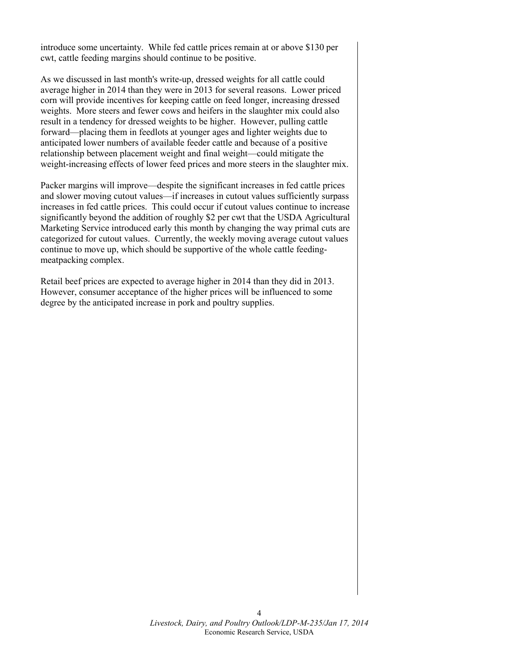introduce some uncertainty. While fed cattle prices remain at or above \$130 per cwt, cattle feeding margins should continue to be positive.

As we discussed in last month's write-up, dressed weights for all cattle could average higher in 2014 than they were in 2013 for several reasons. Lower priced corn will provide incentives for keeping cattle on feed longer, increasing dressed weights. More steers and fewer cows and heifers in the slaughter mix could also result in a tendency for dressed weights to be higher. However, pulling cattle forward—placing them in feedlots at younger ages and lighter weights due to anticipated lower numbers of available feeder cattle and because of a positive relationship between placement weight and final weight—could mitigate the weight-increasing effects of lower feed prices and more steers in the slaughter mix.

Packer margins will improve—despite the significant increases in fed cattle prices and slower moving cutout values—if increases in cutout values sufficiently surpass increases in fed cattle prices. This could occur if cutout values continue to increase significantly beyond the addition of roughly \$2 per cwt that the USDA Agricultural Marketing Service introduced early this month by changing the way primal cuts are categorized for cutout values. Currently, the weekly moving average cutout values continue to move up, which should be supportive of the whole cattle feedingmeatpacking complex.

Retail beef prices are expected to average higher in 2014 than they did in 2013. However, consumer acceptance of the higher prices will be influenced to some degree by the anticipated increase in pork and poultry supplies.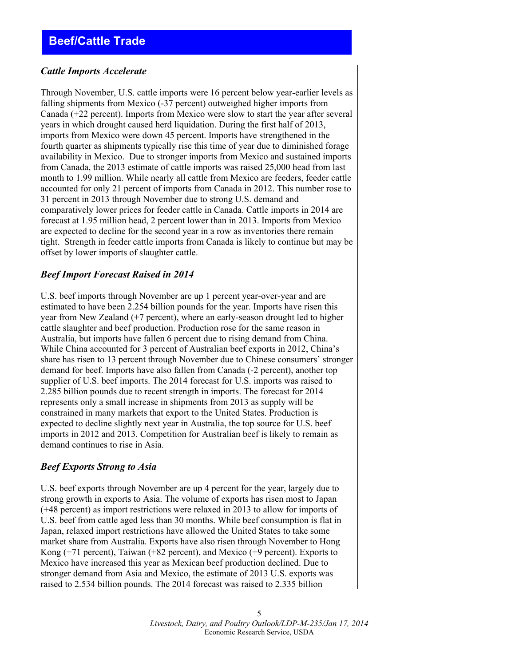# <span id="page-4-0"></span>**Beef/Cattle Trade**

#### *Cattle Imports Accelerate*

Through November, U.S. cattle imports were 16 percent below year-earlier levels as falling shipments from Mexico (-37 percent) outweighed higher imports from Canada (+22 percent). Imports from Mexico were slow to start the year after several years in which drought caused herd liquidation. During the first half of 2013, imports from Mexico were down 45 percent. Imports have strengthened in the fourth quarter as shipments typically rise this time of year due to diminished forage availability in Mexico. Due to stronger imports from Mexico and sustained imports from Canada, the 2013 estimate of cattle imports was raised 25,000 head from last month to 1.99 million. While nearly all cattle from Mexico are feeders, feeder cattle accounted for only 21 percent of imports from Canada in 2012. This number rose to 31 percent in 2013 through November due to strong U.S. demand and comparatively lower prices for feeder cattle in Canada. Cattle imports in 2014 are forecast at 1.95 million head, 2 percent lower than in 2013. Imports from Mexico are expected to decline for the second year in a row as inventories there remain tight. Strength in feeder cattle imports from Canada is likely to continue but may be offset by lower imports of slaughter cattle.

#### *Beef Import Forecast Raised in 2014*

U.S. beef imports through November are up 1 percent year-over-year and are estimated to have been 2.254 billion pounds for the year. Imports have risen this year from New Zealand (+7 percent), where an early-season drought led to higher cattle slaughter and beef production. Production rose for the same reason in Australia, but imports have fallen 6 percent due to rising demand from China. While China accounted for 3 percent of Australian beef exports in 2012, China's share has risen to 13 percent through November due to Chinese consumers' stronger demand for beef. Imports have also fallen from Canada (-2 percent), another top supplier of U.S. beef imports. The 2014 forecast for U.S. imports was raised to 2.285 billion pounds due to recent strength in imports. The forecast for 2014 represents only a small increase in shipments from 2013 as supply will be constrained in many markets that export to the United States. Production is expected to decline slightly next year in Australia, the top source for U.S. beef imports in 2012 and 2013. Competition for Australian beef is likely to remain as demand continues to rise in Asia.

#### *Beef Exports Strong to Asia*

U.S. beef exports through November are up 4 percent for the year, largely due to strong growth in exports to Asia. The volume of exports has risen most to Japan (+48 percent) as import restrictions were relaxed in 2013 to allow for imports of U.S. beef from cattle aged less than 30 months. While beef consumption is flat in Japan, relaxed import restrictions have allowed the United States to take some market share from Australia. Exports have also risen through November to Hong Kong (+71 percent), Taiwan (+82 percent), and Mexico (+9 percent). Exports to Mexico have increased this year as Mexican beef production declined. Due to stronger demand from Asia and Mexico, the estimate of 2013 U.S. exports was raised to 2.534 billion pounds. The 2014 forecast was raised to 2.335 billion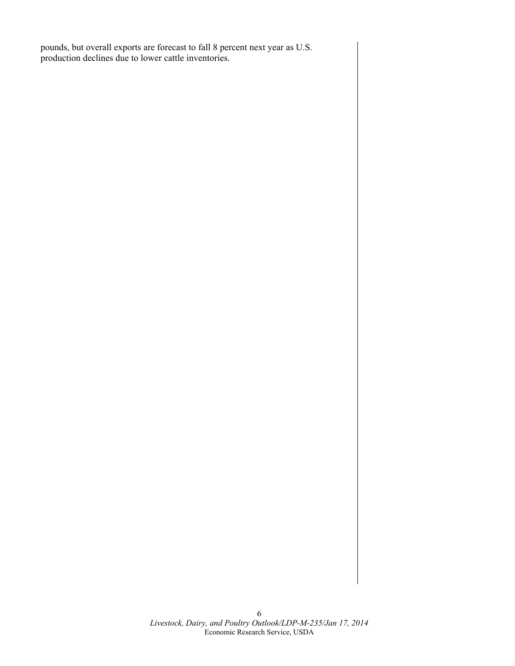pounds, but overall exports are forecast to fall 8 percent next year as U.S. production declines due to lower cattle inventories.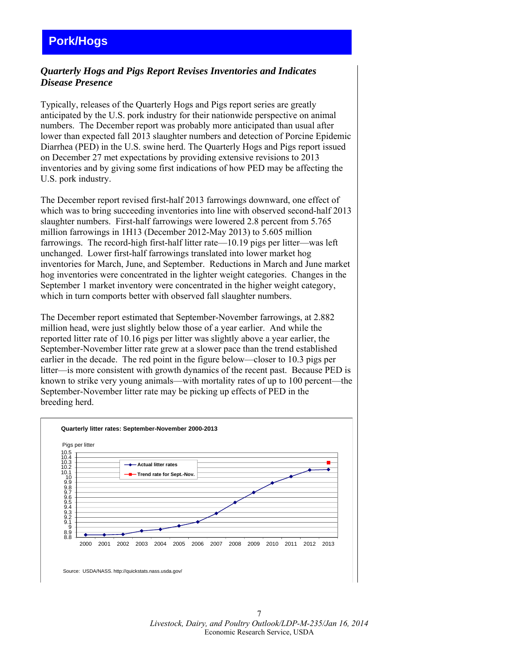# <span id="page-6-0"></span>**Pork/Hogs**

## *Quarterly Hogs and Pigs Report Revises Inventories and Indicates Disease Presence*

Typically, releases of the Quarterly Hogs and Pigs report series are greatly anticipated by the U.S. pork industry for their nationwide perspective on animal numbers. The December report was probably more anticipated than usual after lower than expected fall 2013 slaughter numbers and detection of Porcine Epidemic Diarrhea (PED) in the U.S. swine herd. The Quarterly Hogs and Pigs report issued on December 27 met expectations by providing extensive revisions to 2013 inventories and by giving some first indications of how PED may be affecting the U.S. pork industry.

The December report revised first-half 2013 farrowings downward, one effect of which was to bring succeeding inventories into line with observed second-half 2013 slaughter numbers. First-half farrowings were lowered 2.8 percent from 5.765 million farrowings in 1H13 (December 2012-May 2013) to 5.605 million farrowings. The record-high first-half litter rate—10.19 pigs per litter—was left unchanged. Lower first-half farrowings translated into lower market hog inventories for March, June, and September. Reductions in March and June market hog inventories were concentrated in the lighter weight categories. Changes in the September 1 market inventory were concentrated in the higher weight category, which in turn comports better with observed fall slaughter numbers.

The December report estimated that September-November farrowings, at 2.882 million head, were just slightly below those of a year earlier. And while the reported litter rate of 10.16 pigs per litter was slightly above a year earlier, the September-November litter rate grew at a slower pace than the trend established earlier in the decade. The red point in the figure below—closer to 10.3 pigs per litter—is more consistent with growth dynamics of the recent past. Because PED is known to strike very young animals—with mortality rates of up to 100 percent—the September-November litter rate may be picking up effects of PED in the breeding herd.

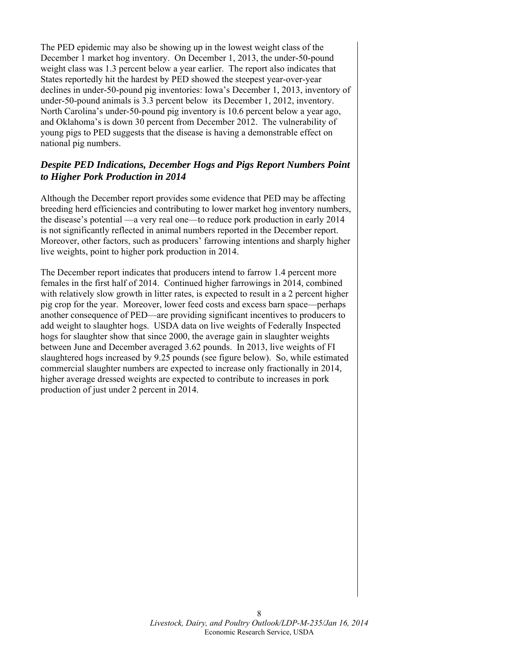The PED epidemic may also be showing up in the lowest weight class of the December 1 market hog inventory. On December 1, 2013, the under-50-pound weight class was 1.3 percent below a year earlier. The report also indicates that States reportedly hit the hardest by PED showed the steepest year-over-year declines in under-50-pound pig inventories: Iowa's December 1, 2013, inventory of under-50-pound animals is 3.3 percent below its December 1, 2012, inventory. North Carolina's under-50-pound pig inventory is 10.6 percent below a year ago, and Oklahoma's is down 30 percent from December 2012. The vulnerability of young pigs to PED suggests that the disease is having a demonstrable effect on national pig numbers.

## *Despite PED Indications, December Hogs and Pigs Report Numbers Point to Higher Pork Production in 2014*

Although the December report provides some evidence that PED may be affecting breeding herd efficiencies and contributing to lower market hog inventory numbers, the disease's potential —a very real one—to reduce pork production in early 2014 is not significantly reflected in animal numbers reported in the December report. Moreover, other factors, such as producers' farrowing intentions and sharply higher live weights, point to higher pork production in 2014.

The December report indicates that producers intend to farrow 1.4 percent more females in the first half of 2014. Continued higher farrowings in 2014, combined with relatively slow growth in litter rates, is expected to result in a 2 percent higher pig crop for the year. Moreover, lower feed costs and excess barn space—perhaps another consequence of PED—are providing significant incentives to producers to add weight to slaughter hogs. USDA data on live weights of Federally Inspected hogs for slaughter show that since 2000, the average gain in slaughter weights between June and December averaged 3.62 pounds. In 2013, live weights of FI slaughtered hogs increased by 9.25 pounds (see figure below). So, while estimated commercial slaughter numbers are expected to increase only fractionally in 2014, higher average dressed weights are expected to contribute to increases in pork production of just under 2 percent in 2014.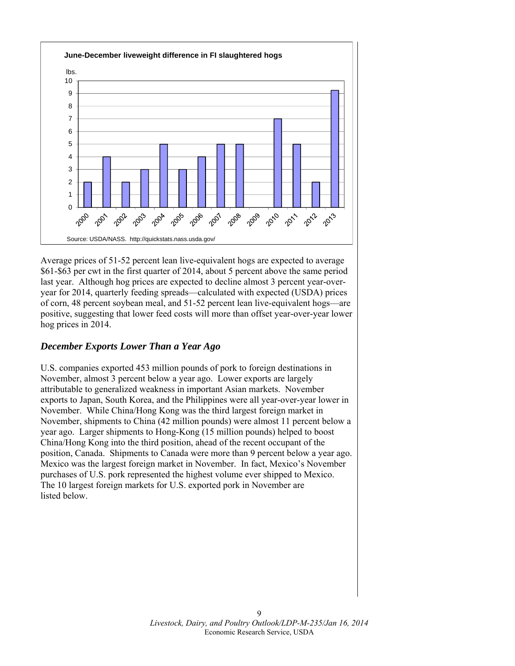

Average prices of 51-52 percent lean live-equivalent hogs are expected to average \$61-\$63 per cwt in the first quarter of 2014, about 5 percent above the same period last year. Although hog prices are expected to decline almost 3 percent year-overyear for 2014, quarterly feeding spreads—calculated with expected (USDA) prices of corn, 48 percent soybean meal, and 51-52 percent lean live-equivalent hogs—are positive, suggesting that lower feed costs will more than offset year-over-year lower hog prices in 2014.

## *December Exports Lower Than a Year Ago*

U.S. companies exported 453 million pounds of pork to foreign destinations in November, almost 3 percent below a year ago. Lower exports are largely attributable to generalized weakness in important Asian markets. November exports to Japan, South Korea, and the Philippines were all year-over-year lower in November. While China/Hong Kong was the third largest foreign market in November, shipments to China (42 million pounds) were almost 11 percent below a year ago. Larger shipments to Hong-Kong (15 million pounds) helped to boost China/Hong Kong into the third position, ahead of the recent occupant of the position, Canada. Shipments to Canada were more than 9 percent below a year ago. Mexico was the largest foreign market in November. In fact, Mexico's November purchases of U.S. pork represented the highest volume ever shipped to Mexico. The 10 largest foreign markets for U.S. exported pork in November are listed below.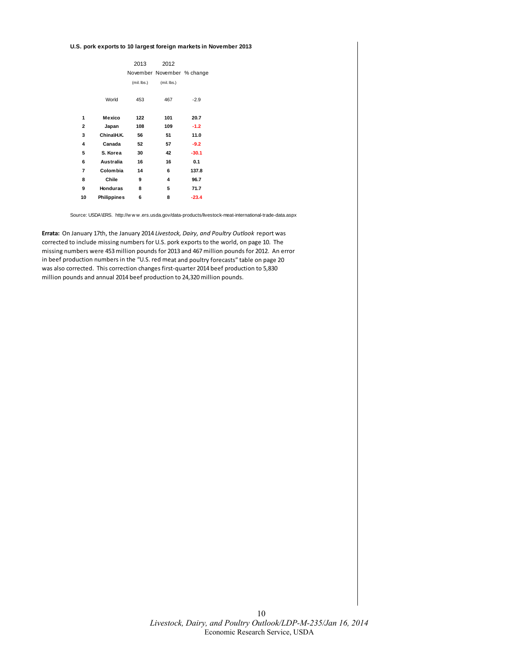#### **U.S. pork exports to 10 largest foreign markets in November 2013**

|              |                    | 2013          | 2012                       |         |  |  |  |  |
|--------------|--------------------|---------------|----------------------------|---------|--|--|--|--|
|              |                    |               | November November % change |         |  |  |  |  |
|              |                    | $(mil.$ lbs.) | (mil. lbs.)                |         |  |  |  |  |
|              | World              | 453           | 467                        | $-2.9$  |  |  |  |  |
| 1            | Mexico             | 122           | 101                        | 20.7    |  |  |  |  |
| $\mathbf{2}$ | Japan              | 108           | 109                        | $-1.2$  |  |  |  |  |
| 3            | China\H.K.         | 56            | 51                         | 11.0    |  |  |  |  |
| 4            | Canada             | 52            | 57                         | $-9.2$  |  |  |  |  |
| 5            | S. Korea           | 30            | 42                         | $-30.1$ |  |  |  |  |
| 6            | Australia          | 16            | 16                         | 0.1     |  |  |  |  |
| 7            | Colombia           | 14            | 6                          | 137.8   |  |  |  |  |
| 8            | Chile              | 9             | 4                          | 96.7    |  |  |  |  |
| 9            | <b>Honduras</b>    | 8             | 5                          | 71.7    |  |  |  |  |
| 10           | <b>Philippines</b> | 6             | 8                          | $-23.4$ |  |  |  |  |

Source: USDA\ERS. http://w w w .ers.usda.gov/data-products/livestock-meat-international-trade-data.aspx

**Errata:** On January 17th, the January 2014 *Livestock, Dairy, and Poultry Outlook* report was corrected to include missing numbers for U.S. pork exports to the world, on page 10. The missing numbers were 453million pounds for 2013 and 467million pounds for 2012. An error in beef production numbers in the "U.S. red meat and poultry forecasts" table on page 20 was also corrected. This correction changes first-quarter 2014 beef production to 5,830 million pounds and annual 2014 beef production to 24,320 million pounds.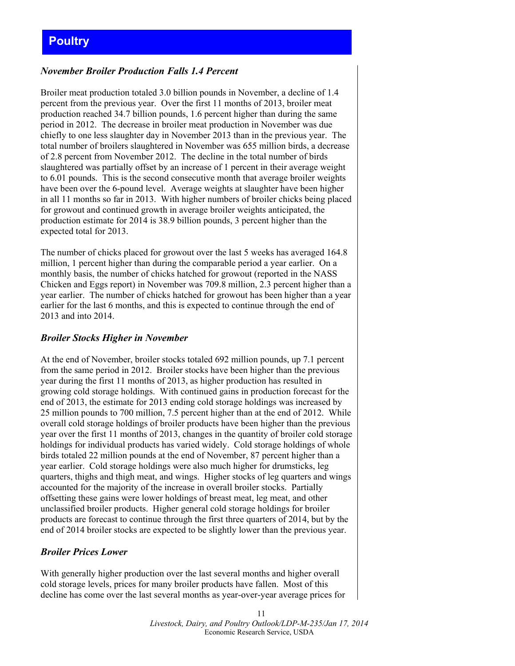# <span id="page-10-0"></span>**Poultry**

## *November Broiler Production Falls 1.4 Percent*

Broiler meat production totaled 3.0 billion pounds in November, a decline of 1.4 percent from the previous year. Over the first 11 months of 2013, broiler meat production reached 34.7 billion pounds, 1.6 percent higher than during the same period in 2012. The decrease in broiler meat production in November was due chiefly to one less slaughter day in November 2013 than in the previous year. The total number of broilers slaughtered in November was 655 million birds, a decrease of 2.8 percent from November 2012. The decline in the total number of birds slaughtered was partially offset by an increase of 1 percent in their average weight to 6.01 pounds. This is the second consecutive month that average broiler weights have been over the 6-pound level. Average weights at slaughter have been higher in all 11 months so far in 2013. With higher numbers of broiler chicks being placed for growout and continued growth in average broiler weights anticipated, the production estimate for 2014 is 38.9 billion pounds, 3 percent higher than the expected total for 2013.

The number of chicks placed for growout over the last 5 weeks has averaged 164.8 million, 1 percent higher than during the comparable period a year earlier. On a monthly basis, the number of chicks hatched for growout (reported in the NASS Chicken and Eggs report) in November was 709.8 million, 2.3 percent higher than a year earlier. The number of chicks hatched for growout has been higher than a year earlier for the last 6 months, and this is expected to continue through the end of 2013 and into 2014.

#### *Broiler Stocks Higher in November*

At the end of November, broiler stocks totaled 692 million pounds, up 7.1 percent from the same period in 2012. Broiler stocks have been higher than the previous year during the first 11 months of 2013, as higher production has resulted in growing cold storage holdings. With continued gains in production forecast for the end of 2013, the estimate for 2013 ending cold storage holdings was increased by 25 million pounds to 700 million, 7.5 percent higher than at the end of 2012. While overall cold storage holdings of broiler products have been higher than the previous year over the first 11 months of 2013, changes in the quantity of broiler cold storage holdings for individual products has varied widely. Cold storage holdings of whole birds totaled 22 million pounds at the end of November, 87 percent higher than a year earlier. Cold storage holdings were also much higher for drumsticks, leg quarters, thighs and thigh meat, and wings. Higher stocks of leg quarters and wings accounted for the majority of the increase in overall broiler stocks. Partially offsetting these gains were lower holdings of breast meat, leg meat, and other unclassified broiler products. Higher general cold storage holdings for broiler products are forecast to continue through the first three quarters of 2014, but by the end of 2014 broiler stocks are expected to be slightly lower than the previous year.

## *Broiler Prices Lower*

With generally higher production over the last several months and higher overall cold storage levels, prices for many broiler products have fallen. Most of this decline has come over the last several months as year-over-year average prices for

> 11 *Livestock, Dairy, and Poultry Outlook/LDP-M-235/Jan 17, 2014*  Economic Research Service, USDA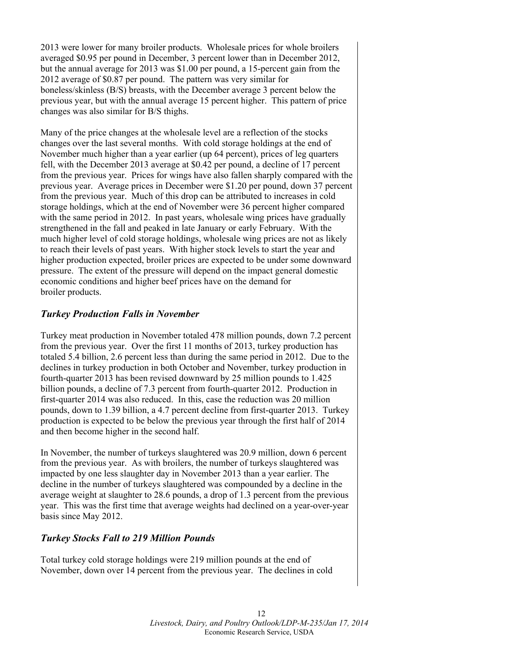2013 were lower for many broiler products. Wholesale prices for whole broilers averaged \$0.95 per pound in December, 3 percent lower than in December 2012, but the annual average for 2013 was \$1.00 per pound, a 15-percent gain from the 2012 average of \$0.87 per pound. The pattern was very similar for boneless/skinless (B/S) breasts, with the December average 3 percent below the previous year, but with the annual average 15 percent higher. This pattern of price changes was also similar for B/S thighs.

Many of the price changes at the wholesale level are a reflection of the stocks changes over the last several months. With cold storage holdings at the end of November much higher than a year earlier (up 64 percent), prices of leg quarters fell, with the December 2013 average at \$0.42 per pound, a decline of 17 percent from the previous year. Prices for wings have also fallen sharply compared with the previous year. Average prices in December were \$1.20 per pound, down 37 percent from the previous year. Much of this drop can be attributed to increases in cold storage holdings, which at the end of November were 36 percent higher compared with the same period in 2012. In past years, wholesale wing prices have gradually strengthened in the fall and peaked in late January or early February. With the much higher level of cold storage holdings, wholesale wing prices are not as likely to reach their levels of past years. With higher stock levels to start the year and higher production expected, broiler prices are expected to be under some downward pressure. The extent of the pressure will depend on the impact general domestic economic conditions and higher beef prices have on the demand for broiler products.

## *Turkey Production Falls in November*

Turkey meat production in November totaled 478 million pounds, down 7.2 percent from the previous year. Over the first 11 months of 2013, turkey production has totaled 5.4 billion, 2.6 percent less than during the same period in 2012. Due to the declines in turkey production in both October and November, turkey production in fourth-quarter 2013 has been revised downward by 25 million pounds to 1.425 billion pounds, a decline of 7.3 percent from fourth-quarter 2012. Production in first-quarter 2014 was also reduced. In this, case the reduction was 20 million pounds, down to 1.39 billion, a 4.7 percent decline from first-quarter 2013. Turkey production is expected to be below the previous year through the first half of 2014 and then become higher in the second half.

In November, the number of turkeys slaughtered was 20.9 million, down 6 percent from the previous year. As with broilers, the number of turkeys slaughtered was impacted by one less slaughter day in November 2013 than a year earlier. The decline in the number of turkeys slaughtered was compounded by a decline in the average weight at slaughter to 28.6 pounds, a drop of 1.3 percent from the previous year. This was the first time that average weights had declined on a year-over-year basis since May 2012.

## *Turkey Stocks Fall to 219 Million Pounds*

Total turkey cold storage holdings were 219 million pounds at the end of November, down over 14 percent from the previous year. The declines in cold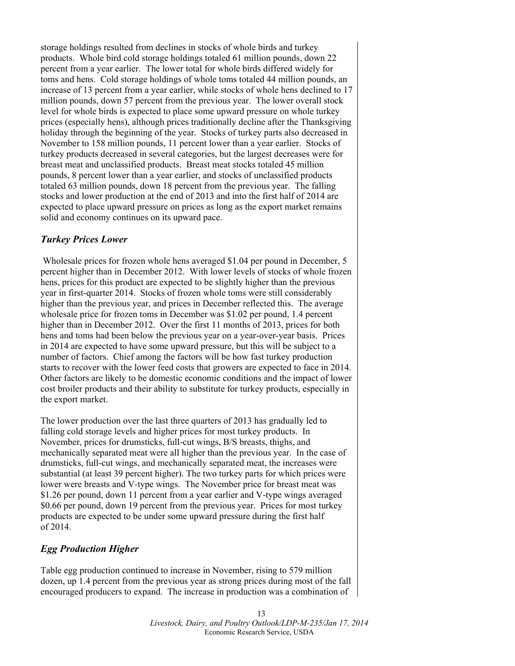storage holdings resulted from declines in stocks of whole birds and turkey products. Whole bird cold storage holdings totaled 61 million pounds, down 22 percent from a year earlier. The lower total for whole birds differed widely for toms and hens. Cold storage holdings of whole toms totaled 44 million pounds, an increase of 13 percent from a year earlier, while stocks of whole hens declined to 17 million pounds, down 57 percent from the previous year. The lower overall stock level for whole birds is expected to place some upward pressure on whole turkey prices (especially hens), although prices traditionally decline after the Thanksgiving holiday through the beginning of the year. Stocks of turkey parts also decreased in November to 158 million pounds, 11 percent lower than a year earlier. Stocks of turkey products decreased in several categories, but the largest decreases were for breast meat and unclassified products. Breast meat stocks totaled 45 million pounds, 8 percent lower than a year earlier, and stocks of unclassified products totaled 63 million pounds, down 18 percent from the previous year. The falling stocks and lower production at the end of 2013 and into the first half of 2014 are expected to place upward pressure on prices as long as the export market remains solid and economy continues on its upward pace.

#### *Turkey Prices Lower*

 Wholesale prices for frozen whole hens averaged \$1.04 per pound in December, 5 percent higher than in December 2012. With lower levels of stocks of whole frozen hens, prices for this product are expected to be slightly higher than the previous year in first-quarter 2014. Stocks of frozen whole toms were still considerably higher than the previous year, and prices in December reflected this. The average wholesale price for frozen toms in December was \$1.02 per pound, 1.4 percent higher than in December 2012. Over the first 11 months of 2013, prices for both hens and toms had been below the previous year on a year-over-year basis. Prices in 2014 are expected to have some upward pressure, but this will be subject to a number of factors. Chief among the factors will be how fast turkey production starts to recover with the lower feed costs that growers are expected to face in 2014. Other factors are likely to be domestic economic conditions and the impact of lower cost broiler products and their ability to substitute for turkey products, especially in the export market.

The lower production over the last three quarters of 2013 has gradually led to falling cold storage levels and higher prices for most turkey products. In November, prices for drumsticks, full-cut wings, B/S breasts, thighs, and mechanically separated meat were all higher than the previous year. In the case of drumsticks, full-cut wings, and mechanically separated meat, the increases were substantial (at least 39 percent higher). The two turkey parts for which prices were lower were breasts and V-type wings. The November price for breast meat was \$1.26 per pound, down 11 percent from a year earlier and V-type wings averaged \$0.66 per pound, down 19 percent from the previous year. Prices for most turkey products are expected to be under some upward pressure during the first half of 2014.

## *Egg Production Higher*

Table egg production continued to increase in November, rising to 579 million dozen, up 1.4 percent from the previous year as strong prices during most of the fall encouraged producers to expand. The increase in production was a combination of

> 13 *Livestock, Dairy, and Poultry Outlook/LDP-M-235/Jan 17, 2014*  Economic Research Service, USDA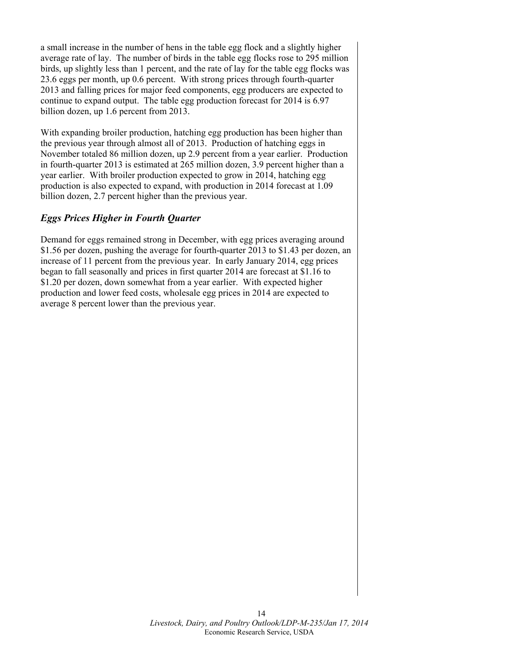a small increase in the number of hens in the table egg flock and a slightly higher average rate of lay. The number of birds in the table egg flocks rose to 295 million birds, up slightly less than 1 percent, and the rate of lay for the table egg flocks was 23.6 eggs per month, up 0.6 percent. With strong prices through fourth-quarter 2013 and falling prices for major feed components, egg producers are expected to continue to expand output. The table egg production forecast for 2014 is 6.97 billion dozen, up 1.6 percent from 2013.

With expanding broiler production, hatching egg production has been higher than the previous year through almost all of 2013. Production of hatching eggs in November totaled 86 million dozen, up 2.9 percent from a year earlier. Production in fourth-quarter 2013 is estimated at 265 million dozen, 3.9 percent higher than a year earlier. With broiler production expected to grow in 2014, hatching egg production is also expected to expand, with production in 2014 forecast at 1.09 billion dozen, 2.7 percent higher than the previous year.

## *Eggs Prices Higher in Fourth Quarter*

Demand for eggs remained strong in December, with egg prices averaging around \$1.56 per dozen, pushing the average for fourth-quarter 2013 to \$1.43 per dozen, an increase of 11 percent from the previous year. In early January 2014, egg prices began to fall seasonally and prices in first quarter 2014 are forecast at \$1.16 to \$1.20 per dozen, down somewhat from a year earlier. With expected higher production and lower feed costs, wholesale egg prices in 2014 are expected to average 8 percent lower than the previous year.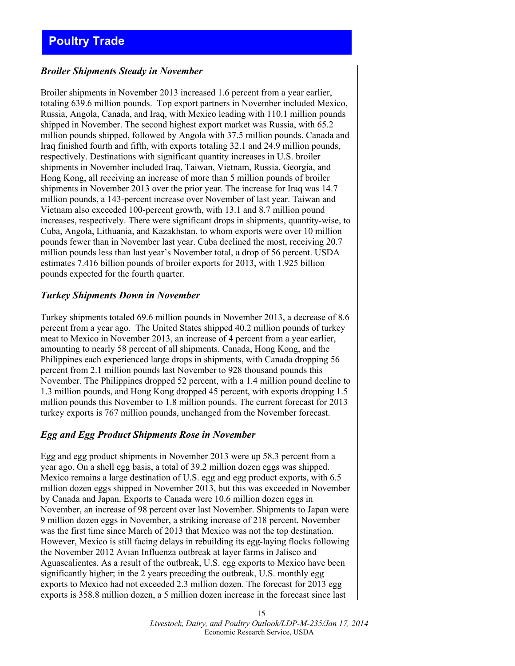#### <span id="page-14-0"></span>*Broiler Shipments Steady in November*

Broiler shipments in November 2013 increased 1.6 percent from a year earlier, totaling 639.6 million pounds. Top export partners in November included Mexico, Russia, Angola, Canada, and Iraq, with Mexico leading with 110.1 million pounds shipped in November. The second highest export market was Russia, with 65.2 million pounds shipped, followed by Angola with 37.5 million pounds. Canada and Iraq finished fourth and fifth, with exports totaling 32.1 and 24.9 million pounds, respectively. Destinations with significant quantity increases in U.S. broiler shipments in November included Iraq, Taiwan, Vietnam, Russia, Georgia, and Hong Kong, all receiving an increase of more than 5 million pounds of broiler shipments in November 2013 over the prior year. The increase for Iraq was 14.7 million pounds, a 143-percent increase over November of last year. Taiwan and Vietnam also exceeded 100-percent growth, with 13.1 and 8.7 million pound increases, respectively. There were significant drops in shipments, quantity-wise, to Cuba, Angola, Lithuania, and Kazakhstan, to whom exports were over 10 million pounds fewer than in November last year. Cuba declined the most, receiving 20.7 million pounds less than last year's November total, a drop of 56 percent. USDA estimates 7.416 billion pounds of broiler exports for 2013, with 1.925 billion pounds expected for the fourth quarter.

#### *Turkey Shipments Down in November*

Turkey shipments totaled 69.6 million pounds in November 2013, a decrease of 8.6 percent from a year ago. The United States shipped 40.2 million pounds of turkey meat to Mexico in November 2013, an increase of 4 percent from a year earlier, amounting to nearly 58 percent of all shipments. Canada, Hong Kong, and the Philippines each experienced large drops in shipments, with Canada dropping 56 percent from 2.1 million pounds last November to 928 thousand pounds this November. The Philippines dropped 52 percent, with a 1.4 million pound decline to 1.3 million pounds, and Hong Kong dropped 45 percent, with exports dropping 1.5 million pounds this November to 1.8 million pounds. The current forecast for 2013 turkey exports is 767 million pounds, unchanged from the November forecast.

#### *Egg and Egg Product Shipments Rose in November*

Egg and egg product shipments in November 2013 were up 58.3 percent from a year ago. On a shell egg basis, a total of 39.2 million dozen eggs was shipped. Mexico remains a large destination of U.S. egg and egg product exports, with 6.5 million dozen eggs shipped in November 2013, but this was exceeded in November by Canada and Japan. Exports to Canada were 10.6 million dozen eggs in November, an increase of 98 percent over last November. Shipments to Japan were 9 million dozen eggs in November, a striking increase of 218 percent. November was the first time since March of 2013 that Mexico was not the top destination. However, Mexico is still facing delays in rebuilding its egg-laying flocks following the November 2012 Avian Influenza outbreak at layer farms in Jalisco and Aguascalientes. As a result of the outbreak, U.S. egg exports to Mexico have been significantly higher; in the 2 years preceding the outbreak, U.S. monthly egg exports to Mexico had not exceeded 2.3 million dozen. The forecast for 2013 egg exports is 358.8 million dozen, a 5 million dozen increase in the forecast since last

> *Livestock, Dairy, and Poultry Outlook/LDP-M-235/Jan 17, 2014*  Economic Research Service, USDA

15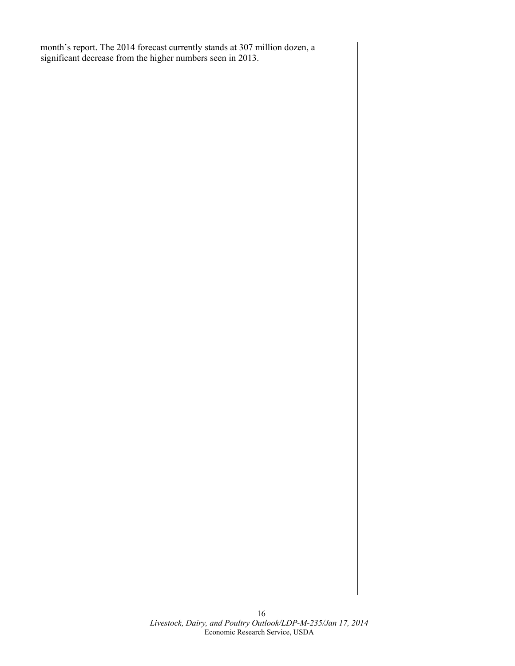month's report. The 2014 forecast currently stands at 307 million dozen, a significant decrease from the higher numbers seen in 2013.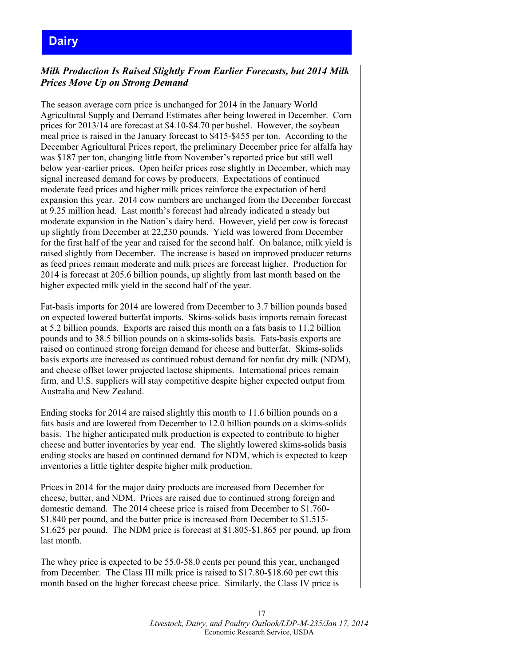# <span id="page-16-0"></span>**Dairy**

## *Milk Production Is Raised Slightly From Earlier Forecasts, but 2014 Milk Prices Move Up on Strong Demand*

The season average corn price is unchanged for 2014 in the January World Agricultural Supply and Demand Estimates after being lowered in December. Corn prices for 2013/14 are forecast at \$4.10-\$4.70 per bushel. However, the soybean meal price is raised in the January forecast to \$415-\$455 per ton. According to the December Agricultural Prices report, the preliminary December price for alfalfa hay was \$187 per ton, changing little from November's reported price but still well below year-earlier prices. Open heifer prices rose slightly in December, which may signal increased demand for cows by producers. Expectations of continued moderate feed prices and higher milk prices reinforce the expectation of herd expansion this year. 2014 cow numbers are unchanged from the December forecast at 9.25 million head. Last month's forecast had already indicated a steady but moderate expansion in the Nation's dairy herd. However, yield per cow is forecast up slightly from December at 22,230 pounds. Yield was lowered from December for the first half of the year and raised for the second half. On balance, milk yield is raised slightly from December. The increase is based on improved producer returns as feed prices remain moderate and milk prices are forecast higher. Production for 2014 is forecast at 205.6 billion pounds, up slightly from last month based on the higher expected milk yield in the second half of the year.

Fat-basis imports for 2014 are lowered from December to 3.7 billion pounds based on expected lowered butterfat imports. Skims-solids basis imports remain forecast at 5.2 billion pounds. Exports are raised this month on a fats basis to 11.2 billion pounds and to 38.5 billion pounds on a skims-solids basis. Fats-basis exports are raised on continued strong foreign demand for cheese and butterfat. Skims-solids basis exports are increased as continued robust demand for nonfat dry milk (NDM), and cheese offset lower projected lactose shipments. International prices remain firm, and U.S. suppliers will stay competitive despite higher expected output from Australia and New Zealand.

Ending stocks for 2014 are raised slightly this month to 11.6 billion pounds on a fats basis and are lowered from December to 12.0 billion pounds on a skims-solids basis. The higher anticipated milk production is expected to contribute to higher cheese and butter inventories by year end. The slightly lowered skims-solids basis ending stocks are based on continued demand for NDM, which is expected to keep inventories a little tighter despite higher milk production.

Prices in 2014 for the major dairy products are increased from December for cheese, butter, and NDM. Prices are raised due to continued strong foreign and domestic demand. The 2014 cheese price is raised from December to \$1.760- \$1.840 per pound, and the butter price is increased from December to \$1.515- \$1.625 per pound. The NDM price is forecast at \$1.805-\$1.865 per pound, up from last month.

The whey price is expected to be 55.0-58.0 cents per pound this year, unchanged from December. The Class III milk price is raised to \$17.80-\$18.60 per cwt this month based on the higher forecast cheese price. Similarly, the Class IV price is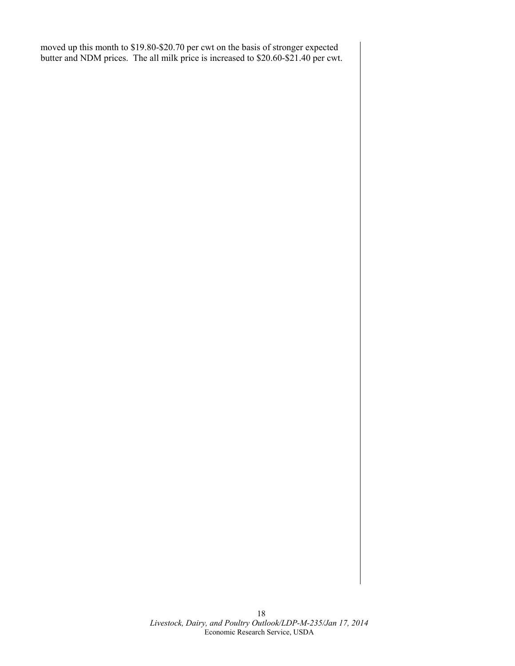moved up this month to \$19.80-\$20.70 per cwt on the basis of stronger expected butter and NDM prices. The all milk price is increased to \$20.60-\$21.40 per cwt.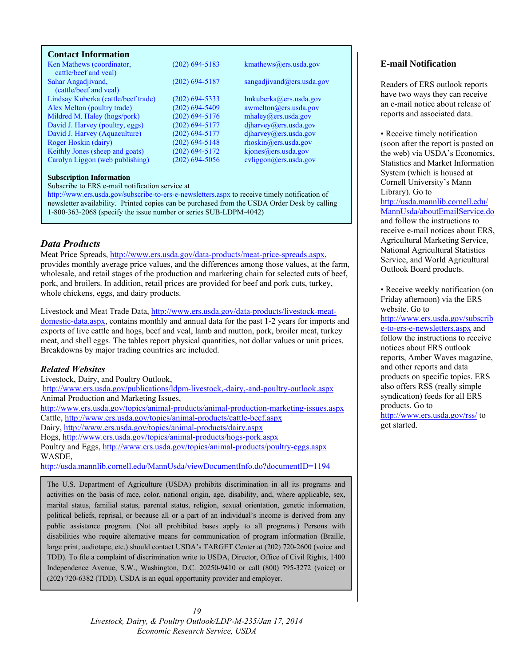#### <span id="page-18-0"></span>**Contact Information**

| Ken Mathews (coordinator,<br>cattle/beef and yeal) | $(202)$ 694-5183   | kmathews@ers.usda.gov                |
|----------------------------------------------------|--------------------|--------------------------------------|
| Sahar Angadjivand,                                 | $(202) 694 - 5187$ | sangadjivand@ers.usda.gov            |
| (cattle/beef and yeal)                             |                    |                                      |
| Lindsay Kuberka (cattle/beef trade)                | $(202)$ 694-5333   | lmkuberka@ers.usda.gov               |
| Alex Melton (poultry trade)                        | $(202)$ 694-5409   | $a$ wmelton $(a)$ ers.usda.gov       |
| Mildred M. Haley (hogs/pork)                       | $(202)$ 694-5176   | mhaley@ers.usda.gov                  |
| David J. Harvey (poultry, eggs)                    | $(202)$ 694-5177   | diharvey@ers.usda.gov                |
| David J. Harvey (Aquaculture)                      | $(202)$ 694-5177   | diharvey@ers.usda.gov                |
| Roger Hoskin (dairy)                               | $(202)$ 694-5148   | $r \text{hosh}(\omega)$ ers.usda.gov |
| Keithly Jones (sheep and goats)                    | $(202)$ 694-5172   | kjones@ers.usda.gov                  |
| Carolyn Liggon (web publishing)                    | $(202)$ 694-5056   | cvliggon@ers.usda.gov                |

#### **Subscription Information**

Subscribe to ERS e-mail notification service at

http://www.ers.usda.gov/subscribe-to-ers-e-newsletters.aspx to receive timely notification of newsletter availability. Printed copies can be purchased from the USDA Order Desk by calling 1-800-363-2068 (specify the issue number or series SUB-LDPM-4042)

## *Data Products*

Meat Price Spreads, http://www.ers.usda.gov/data-products/meat-price-spreads.aspx, provides monthly average price values, and the differences among those values, at the farm, wholesale, and retail stages of the production and marketing chain for selected cuts of beef, pork, and broilers. In addition, retail prices are provided for beef and pork cuts, turkey, whole chickens, eggs, and dairy products.

Livestock and Meat Trade Data, http://www.ers.usda.gov/data-products/livestock-meatdomestic-data.aspx, contains monthly and annual data for the past 1-2 years for imports and exports of live cattle and hogs, beef and veal, lamb and mutton, pork, broiler meat, turkey meat, and shell eggs. The tables report physical quantities, not dollar values or unit prices. Breakdowns by major trading countries are included.

#### *Related Websites*

Livestock, Dairy, and Poultry Outlook, http://www.ers.usda.gov/publications/ldpm-livestock,-dairy,-and-poultry-outlook.aspx Animal Production and Marketing Issues, http://www.ers.usda.gov/topics/animal-products/animal-production-marketing-issues.aspx Cattle, http://www.ers.usda.gov/topics/animal-products/cattle-beef.aspx Dairy, http://www.ers.usda.gov/topics/animal-products/dairy.aspx Hogs, http://www.ers.usda.gov/topics/animal-products/hogs-pork.aspx Poultry and Eggs, http://www.ers.usda.gov/topics/animal-products/poultry-eggs.aspx WASDE, http://usda.mannlib.cornell.edu/MannUsda/viewDocumentInfo.do?documentID=1194

The U.S. Department of Agriculture (USDA) prohibits discrimination in all its programs and activities on the basis of race, color, national origin, age, disability, and, where applicable, sex, marital status, familial status, parental status, religion, sexual orientation, genetic information, political beliefs, reprisal, or because all or a part of an individual's income is derived from any public assistance program. (Not all prohibited bases apply to all programs.) Persons with disabilities who require alternative means for communication of program information (Braille, large print, audiotape, etc.) should contact USDA's TARGET Center at (202) 720-2600 (voice and TDD). To file a complaint of discrimination write to USDA, Director, Office of Civil Rights, 1400 Independence Avenue, S.W., Washington, D.C. 20250-9410 or call (800) 795-3272 (voice) or (202) 720-6382 (TDD). USDA is an equal opportunity provider and employer.

#### **E**-**mail Notification**

Readers of ERS outlook reports have two ways they can receive an e-mail notice about release of reports and associated data.

• Receive timely notification (soon after the report is posted on the web) via USDA's Economics, Statistics and Market Information System (which is housed at Cornell University's Mann Library). Go to http://usda.mannlib.cornell.edu/ MannUsda/aboutEmailService.do and follow the instructions to receive e-mail notices about ERS, Agricultural Marketing Service, National Agricultural Statistics Service, and World Agricultural Outlook Board products.

• Receive weekly notification (on Friday afternoon) via the ERS website. Go to

http://www.ers.usda.gov/subscrib e-to-ers-e-newsletters.aspx and follow the instructions to receive notices about ERS outlook reports, Amber Waves magazine, and other reports and data products on specific topics. ERS also offers RSS (really simple syndication) feeds for all ERS products. Go to http://www.ers.usda.gov/rss/ to

get started.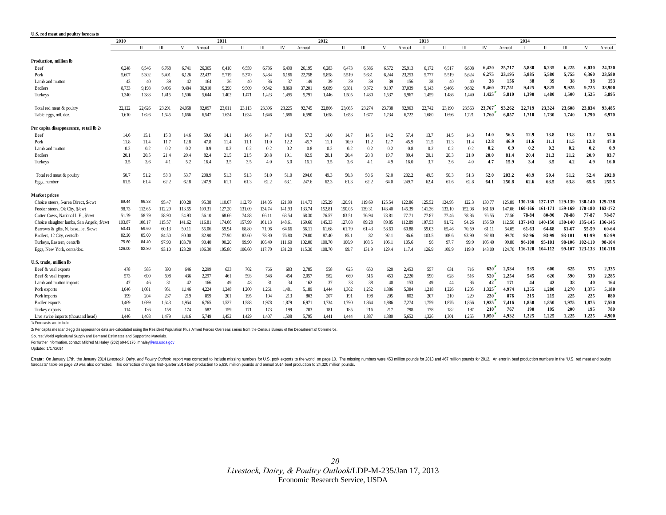<span id="page-19-0"></span>

| U.S. red meat and poultry forecasts        |              |        |        |           |        |        |        |              |        |        |        |        |        |        |        |        |              |        |        |        |         |              |         |         |             |
|--------------------------------------------|--------------|--------|--------|-----------|--------|--------|--------|--------------|--------|--------|--------|--------|--------|--------|--------|--------|--------------|--------|--------|--------|---------|--------------|---------|---------|-------------|
|                                            | 2010<br>2011 |        |        |           |        |        |        | 2012<br>2013 |        |        |        |        |        |        |        | 2014   |              |        |        |        |         |              |         |         |             |
|                                            |              | $\Pi$  | III    | <b>IV</b> | Annual |        | $\Pi$  | $\mathbf{m}$ | IV     | Annual | - 1    | $\Pi$  | Ш      | IV     | Annual |        | $\mathbf{I}$ | III    | IV     | Annual |         | $\mathbf{I}$ | III     | IV      | Annual      |
| Production, million lb                     |              |        |        |           |        |        |        |              |        |        |        |        |        |        |        |        |              |        |        |        |         |              |         |         |             |
| Beef                                       | 6,248        | 6,546  | 6,768  | 6,741     | 26,305 | 6,410  | 6,559  | 6,736        | 6,490  | 26,195 | 6,283  | 6,473  | 6,586  | 6,572  | 25,913 | 6,172  | 6,517        | 6.608  | 6,420  | 25,717 | 5.830   | 6,235        | 6,225   | 6,030   | 24,320      |
| Pork                                       | 5.607        | 5.302  | 5.401  | 6.126     | 22,437 | 5.719  | 5.370  | 5.484        | 6,186  | 22,758 | 5.858  | 5.519  | 5.631  | 6.244  | 23.253 | 5.777  | 5.519        | 5.624  | 6.275  | 23.195 | 5.885   | 5.580        | 5,755   | 6.360   | 23.580      |
| Lamb and mutton                            | 43           | 40     | 39     | 42        | 164    | 36     | 40     | 36           | 37     | 149    | 39     | 39     | 39     | 39     | 156    | 38     | 40           | 40     | 38     | 156    | 38      | 39           | 38      | 38      | 153         |
| <b>Broilers</b>                            | 8.733        | 9,198  | 9,496  | 9,484     | 36,910 | 9.290  | 9.509  | 9,542        | 8.860  | 37,201 | 9,089  | 9,381  | 9.372  | 9,197  | 37,039 | 9,143  | 9,466        | 9.682  | 9,460  | 37,751 | 9,425   | 9,825        | 9.925   | 9,725   | 38,900      |
| Turkeys                                    | 1.340        | 1,383  | 1,415  | 1,506     | 5,644  | 1.402  | 1,471  | 1,423        | 1,495  | 5,791  | 1,446  | 1,505  | 1.480  | 1,537  | 5.967  | 1,459  | 1.486        | 1.440  | 1.425  | 5,810  | 1,390   | 1,480        | 1,500   | 1,525   | 5.895       |
| Total red meat & poultry                   | 22.122       | 22,626 | 23.291 | 24,058    | 92,097 | 23.011 | 23.113 | 23.396       | 23.225 | 92.745 | 22,866 | 23,085 | 23,274 | 23.738 | 92.963 | 22.742 | 23,190       | 23.563 | 23,767 | 93,262 | 22,719  | 23.324       | 23,608  | 23.834  | 93.485      |
| Table eggs, mil. doz.                      | 1,610        | 1,626  | 1,645  | 1,666     | 6,547  | 1,624  | 1,634  | 1,646        | 1,686  | 6,590  | 1,658  | 1,653  | 1,677  | 1,734  | 6,722  | 1,680  | 1,696        | 1,721  | 1,760  | 6,857  | 1,710   | 1,730        | 1,740   | 1,790   | 6,970       |
| Per capita disappearance, retail lb 2/     |              |        |        |           |        |        |        |              |        |        |        |        |        |        |        |        |              |        |        |        |         |              |         |         |             |
| Beef                                       | 14.6         | 15.1   | 15.3   | 14.6      | 59.6   | 14.1   | 14.6   | 14.7         | 14.0   | 57.3   | 14.0   | 14.7   | 14.5   | 14.2   | 57.4   | 13.7   | 14.5         | 14.3   | 14.0   | 56.5   | 12.9    | 13.8         | 13.8    | 13.2    | 53.6        |
| Pork                                       | 11.8         | 11.4   | 11.7   | 12.8      | 47.8   | 11.4   | 11.1   | 11.0         | 12.2   | 45.7   | 11.1   | 10.9   | 11.2   | 12.7   | 45.9   | 11.5   | 11.3         | 11.4   | 12.8   | 46.9   | 11.6    | 11.1         | 11.5    | 12.8    | 47.0        |
| Lamb and mutton                            | 0.2          | 0.2    | 0.2    | 0.2       | 0.9    | 0.2    | 0.2    | 0.2          | 0.2    | 0.8    | 0.2    | 0.2    | 0.2    | 0.2    | 0.8    | 0.2    | 0.2          | 0.2    | 0.2    | 0.9    | 0.2     | 0.2          | 0.2     | 0.2     | 0.9         |
| <b>Broilers</b>                            | 20.1         | 20.5   | 21.4   | 20.4      | 82.4   | 21.5   | 21.5   | 20.8         | 19.1   | 82.9   | 20.1   | 20.4   | 20.3   | 19.7   | 80.4   | 20.1   | 20.3         | 21.0   | 20.0   | 81.4   | 20.4    | 21.3         | 21.2    | 20.9    | 83.7        |
| Turkeys                                    | 3.5          | 3.6    | 4.1    | 5.2       | 16.4   | 3.5    | 3.5    | 4.0          | 5.0    | 16.1   | 3.5    | 3.6    | 4.1    | 4.9    | 16.0   | 3.7    | 3.6          | 4.0    | 4.7    | 15.9   | 3.4     | 3.5          | 4.2     | 4.9     | 16.0        |
| Total red meat & poultry                   | 50.7         | 51.2   | 53.3   | 53.7      | 208.9  | 51.3   | 51.3   | 51.0         | 51.0   | 204.6  | 49.3   | 50.3   | 50.6   | 52.0   | 202.2  | 49.5   | 50.3         | 51.3   | 52.0   | 203.2  | 48.9    | 50.4         | 51.2    | 52.4    | 202.8       |
| Eggs, number                               | 61.5         | 61.4   | 62.2   | 62.8      | 247.9  | 61.1   | 61.3   | 62.2         | 63.1   | 247.6  | 62.3   | 61.3   | 62.2   | 64.0   | 249.7  | 62.4   | 61.6         | 62.8   | 64.1   | 250.8  | 62.6    | 63.5         | 63.8    | 65.6    | 255.5       |
| Market prices                              |              |        |        |           |        |        |        |              |        |        |        |        |        |        |        |        |              |        |        |        |         |              |         |         |             |
| Choice steers, 5-area Direct, \$/cwt       | 89.44        | 96.33  | 95.47  | 100.28    | 95.38  | 110.07 | 112.79 | 114.05       | 121.99 | 114.73 | 125.29 | 120.91 | 119.69 | 125.54 | 122.86 | 125.52 | 124.95       | 122.3  | 130.77 | 125.89 | 130-136 | 127-137      | 129-139 | 130-140 | 129-138     |
| Feeder steers, Ok City, \$/cwt             | 98.73        | 112.65 | 112.29 | 113.55    | 109.31 | 127.20 | 131.09 | 134.74       | 141.93 | 133.74 | 152.81 | 150.05 | 139.31 | 143.40 | 146.39 | 141.36 | 133.10       | 152.08 | 161.69 | 147.06 | 160-166 | 161-171      | 159-169 | 170-180 | $163 - 172$ |
| Cutter Cows, National L.E., \$/cwt         | 51.79        | 58.79  | 58.90  | 54.93     | 56.10  | 68.66  | 74.88  | 66.11        | 63.54  | 68.30  | 76.57  | 83.51  | 76.94  | 73.81  | 77.71  | 77.87  | 77.46        | 78.36  | 76.55  | 77.56  | 78-84   | 80-90        | 78-88   | 77-87   | $78 - 8'$   |
| Choice slaughter lambs, San Angelo, \$/cwt | 103.87       | 106.17 | 115.57 | 141.62    | 116.81 | 174.66 | 157.99 | 161.13       | 148.61 | 160.60 | 145.33 | 127.08 | 89.28  | 89.85  | 112.89 | 107.53 | 91.72        | 94.26  | 156.50 | 112.50 | 37-143  | 140-150      | 30-140  | 135-145 | 136-14:     |
| Barrows & gilts, N. base, l.e. \$/cwt      | 50.41        | 59.60  | 60.13  | 50.11     | 55.06  | 59.94  | 68.80  | 71.06        | 64.66  | 66.11  | 61.68  | 61.79  | 61.43  | 58.63  | 60.88  | 59.03  | 65.46        | 70.59  | 61.11  | 64.05  | 61-63   | 64-68        | 61-67   | 55-59   | 60-64       |
| Broilers, 12 City, cents/lb                | 82.20        | 85.00  | 84.50  | 80.00     | 82.90  | 77.90  | 82.60  | 78.80        | 76.80  | 79.00  | 87.40  | 85.1   | 82     | 92.1   | 86.6   | 103.5  | 108.6        | 93.90  | 92.80  | 99.70  | 92-96   | 93-99        | 93-101  | 91-99   | 92-99       |
| Turkeys, Eastern, cents/lb                 | 75.60        | 84.40  | 97.90  | 103.70    | 90.40  | 90.20  | 99.90  | 106.40       | 111.60 | 102.00 | 100.70 | 106.9  | 108.5  | 106.   | 105.6  | 96     | 97.7         | 99.9   | 105.40 | 99.80  | 96-100  | 95-101       | 98-106  | 102-110 | 98-104      |
| Eggs, New York, cents/doz.                 | 126.00       | 82.80  | 93.10  | 123.20    | 106.30 | 105.80 | 106.60 | 117.70       | 131.20 | 115.30 | 108.70 | 99.7   | 131.9  | 129.4  | 117.4  | 126.9  | 109.9        | 119.0  | 143.00 | 124.70 | 116-120 | 104-112      | 99-107  | 123-133 | 110-118     |
| U.S. trade, million lb                     |              |        |        |           |        |        |        |              |        |        |        |        |        |        |        |        |              |        |        |        |         |              |         |         |             |
| Beef & yeal exports                        | 478          | 585    | 590    | 646       | 2,299  | 633    | 702    | 766          | 683    | 2,785  | 558    | 625    | 650    | 620    | 2,453  | 557    | 631          | 716    | 630    | 2,534  | 535     | 600          | 625     | 575     | 2,335       |
| Beef & veal imports                        | 573          | 690    | 598    | 436       | 2,297  | 461    | 593    | 548          | 454    | 2,057  | 582    | 669    | 516    | 453    | 2,220  | 590    | 628          | 516    | 520    | 2.254  | 545     | 620          | 590     | 530     | 2,285       |
| Lamb and mutton imports                    | 47           | 46     | 31     | 42        | 166    | 49     | 48     | 31           | 34     | 162    | 37     | 38     | 38     | 40     | 153    | 49     | 44           | 36     | 42     | 171    | 44      | 42           | 38      | 40      | 164         |
| Pork exports                               | 1.046        | 1.081  | 951    | 1,146     | 4,224  | 1.248  | 1,200  | 1,261        | 1,481  | 5,189  | 1,444  | 1.302  | 1.252  | 1.386  | 5,384  | 1,218  | 1,226        | 1,205  | 1,325  | 4,974  | 1,255   | 1,280        | 1,270   | 1,375   | 5,180       |
| Pork imports                               | 199          | 204    | 237    | 219       | 859    | 201    | 195    | 194          | 213    | 803    | 207    | 191    | 198    | 205    | 802    | 207    | 210          | 229    | 230    | 876    | 215     | 215          | 225     | 225     | 880         |
| <b>Broiler</b> exports                     | 1,469        | 1.699  | 1.643  | 1,954     | 6,765  | 1.527  | 1,588  | 1,978        | 1,879  | 6,971  | 1,734  | 1.790  | 1.864  | 1,886  | 7,274  | 1.759  | 1,876        | 1,856  | 1,925  | 7,416  | 1,850   | 1,850        | 1.975   | 1,875   | 7,550       |
| Turkey exports                             | 114          | 136    | 158    | 174       | 582    | 159    | 171    | 173          | 199    | 703    | 181    | 185    | 216    | 217    | 798    | 178    | 182          | 197    | 210    | 767    | 190     | 195          | 200     | 195     | 780         |
| Live swine imports (thousand head)         | 1.446        | 1.408  | 1.479  | 1.416     | 5.749  | 1.452  | 1.429  | 1.407        | 1.508  | 5.795  | 1.441  | 1.444  | 1.387  | 1.380  | 5.652  | 1.326  | 1.301        | 1.255  | 1.050  | 4.932  | 1.225   | 1.225        | 1.225   | 1.225   | 4.900       |

1/ Forecasts are in bold.

2/ Per capita meat and egg disappearance data are calculated using the Resident Population Plus Armed Forces Overseas series from the Census Bureau of the Department of Commerce.

Source: World Agricultural Supply and Demand Estimates and Supporting Materials.

For further information, contact: Mildred M. Haley, (202) 694-5176, mhaley@ers.usda.gov

Updated 1/17/2014

Errata: On January 17th, the January 2014 Livestock, Dairy, and Poultry Outlook report was corrected to include missing numbers for U.S. pork exports to the world, on page 10. The missing numbers were 453 million pounds fo